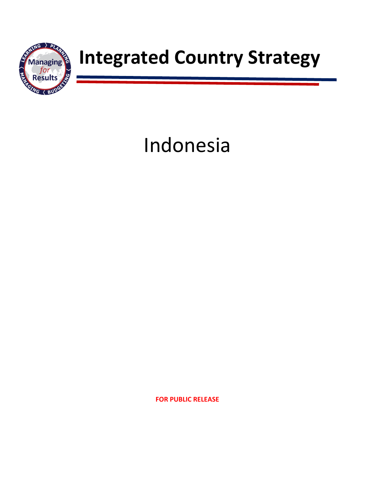

## **Managing a Integrated Country Strategy**

# Indonesia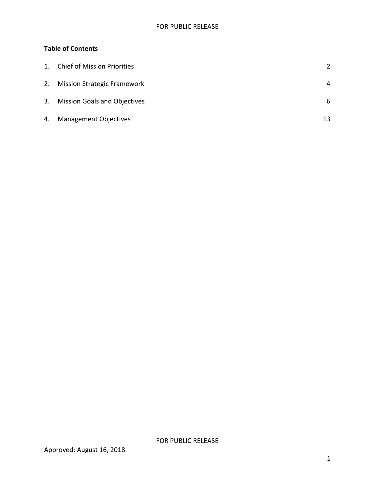### **Table of Contents**

| $\mathbf{1}$ . | <b>Chief of Mission Priorities</b>  | $\mathcal{P}$ |
|----------------|-------------------------------------|---------------|
| 2.             | <b>Mission Strategic Framework</b>  | 4             |
| 3.             | <b>Mission Goals and Objectives</b> | 6             |
| 4.             | <b>Management Objectives</b>        | 13            |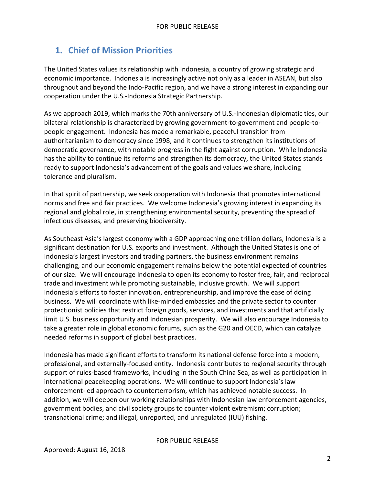## <span id="page-2-0"></span>**1. Chief of Mission Priorities**

The United States values its relationship with Indonesia, a country of growing strategic and economic importance. Indonesia is increasingly active not only as a leader in ASEAN, but also throughout and beyond the Indo-Pacific region, and we have a strong interest in expanding our cooperation under the U.S.-Indonesia Strategic Partnership.

As we approach 2019, which marks the 70th anniversary of U.S.-Indonesian diplomatic ties, our bilateral relationship is characterized by growing government-to-government and people-topeople engagement. Indonesia has made a remarkable, peaceful transition from authoritarianism to democracy since 1998, and it continues to strengthen its institutions of democratic governance, with notable progress in the fight against corruption. While Indonesia has the ability to continue its reforms and strengthen its democracy, the United States stands ready to support Indonesia's advancement of the goals and values we share, including tolerance and pluralism.

In that spirit of partnership, we seek cooperation with Indonesia that promotes international norms and free and fair practices. We welcome Indonesia's growing interest in expanding its regional and global role, in strengthening environmental security, preventing the spread of infectious diseases, and preserving biodiversity.

As Southeast Asia's largest economy with a GDP approaching one trillion dollars, Indonesia is a significant destination for U.S. exports and investment. Although the United States is one of Indonesia's largest investors and trading partners, the business environment remains challenging, and our economic engagement remains below the potential expected of countries of our size. We will encourage Indonesia to open its economy to foster free, fair, and reciprocal trade and investment while promoting sustainable, inclusive growth. We will support Indonesia's efforts to foster innovation, entrepreneurship, and improve the ease of doing business. We will coordinate with like-minded embassies and the private sector to counter protectionist policies that restrict foreign goods, services, and investments and that artificially limit U.S. business opportunity and Indonesian prosperity. We will also encourage Indonesia to take a greater role in global economic forums, such as the G20 and OECD, which can catalyze needed reforms in support of global best practices.

Indonesia has made significant efforts to transform its national defense force into a modern, professional, and externally-focused entity. Indonesia contributes to regional security through support of rules-based frameworks, including in the South China Sea, as well as participation in international peacekeeping operations. We will continue to support Indonesia's law enforcement-led approach to counterterrorism, which has achieved notable success. In addition, we will deepen our working relationships with Indonesian law enforcement agencies, government bodies, and civil society groups to counter violent extremism; corruption; transnational crime; and illegal, unreported, and unregulated (IUU) fishing.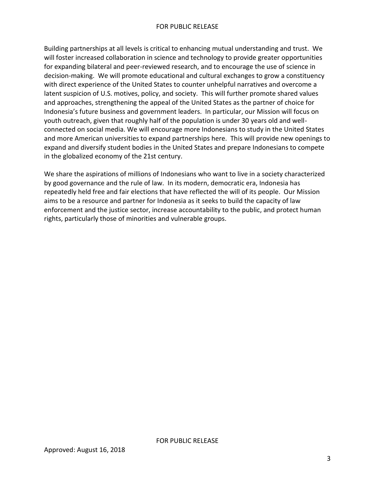Building partnerships at all levels is critical to enhancing mutual understanding and trust. We will foster increased collaboration in science and technology to provide greater opportunities for expanding bilateral and peer-reviewed research, and to encourage the use of science in decision-making. We will promote educational and cultural exchanges to grow a constituency with direct experience of the United States to counter unhelpful narratives and overcome a latent suspicion of U.S. motives, policy, and society. This will further promote shared values and approaches, strengthening the appeal of the United States as the partner of choice for Indonesia's future business and government leaders. In particular, our Mission will focus on youth outreach, given that roughly half of the population is under 30 years old and wellconnected on social media. We will encourage more Indonesians to study in the United States and more American universities to expand partnerships here. This will provide new openings to expand and diversify student bodies in the United States and prepare Indonesians to compete in the globalized economy of the 21st century.

We share the aspirations of millions of Indonesians who want to live in a society characterized by good governance and the rule of law. In its modern, democratic era, Indonesia has repeatedly held free and fair elections that have reflected the will of its people. Our Mission aims to be a resource and partner for Indonesia as it seeks to build the capacity of law enforcement and the justice sector, increase accountability to the public, and protect human rights, particularly those of minorities and vulnerable groups.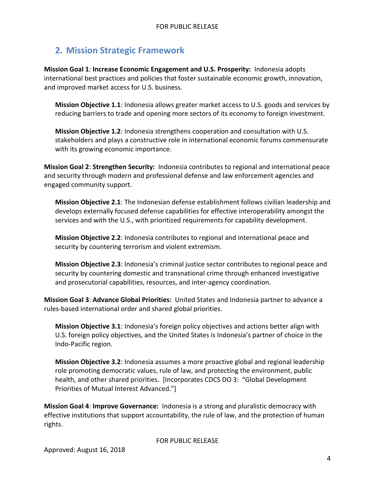## <span id="page-4-0"></span>**2. Mission Strategic Framework**

**Mission Goal 1**: **Increase Economic Engagement and U.S. Prosperity:** Indonesia adopts international best practices and policies that foster sustainable economic growth, innovation, and improved market access for U.S. business.

**Mission Objective 1.1**: Indonesia allows greater market access to U.S. goods and services by reducing barriers to trade and opening more sectors of its economy to foreign investment.

**Mission Objective 1.2**: Indonesia strengthens cooperation and consultation with U.S. stakeholders and plays a constructive role in international economic forums commensurate with its growing economic importance.

**Mission Goal 2**: **Strengthen Security:** Indonesia contributes to regional and international peace and security through modern and professional defense and law enforcement agencies and engaged community support.

**Mission Objective 2.1**: The Indonesian defense establishment follows civilian leadership and develops externally focused defense capabilities for effective interoperability amongst the services and with the U.S., with prioritized requirements for capability development.

**Mission Objective 2.2**: Indonesia contributes to regional and international peace and security by countering terrorism and violent extremism.

**Mission Objective 2.3**: Indonesia's criminal justice sector contributes to regional peace and security by countering domestic and transnational crime through enhanced investigative and prosecutorial capabilities, resources, and inter-agency coordination.

**Mission Goal 3**: **Advance Global Priorities:** United States and Indonesia partner to advance a rules-based international order and shared global priorities.

**Mission Objective 3.1**: Indonesia's foreign policy objectives and actions better align with U.S. foreign policy objectives, and the United States is Indonesia's partner of choice in the Indo-Pacific region.

**Mission Objective 3.2**: Indonesia assumes a more proactive global and regional leadership role promoting democratic values, rule of law, and protecting the environment, public health, and other shared priorities. [Incorporates CDCS DO 3: "Global Development Priorities of Mutual Interest Advanced."]

**Mission Goal 4**: **Improve Governance:** Indonesia is a strong and pluralistic democracy with effective institutions that support accountability, the rule of law, and the protection of human rights.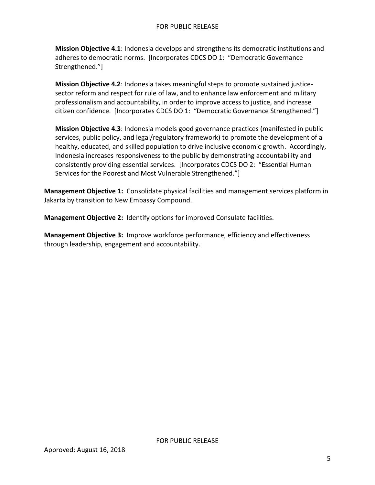**Mission Objective 4.1**: Indonesia develops and strengthens its democratic institutions and adheres to democratic norms. [Incorporates CDCS DO 1: "Democratic Governance Strengthened."]

**Mission Objective 4.2**: Indonesia takes meaningful steps to promote sustained justicesector reform and respect for rule of law, and to enhance law enforcement and military professionalism and accountability, in order to improve access to justice, and increase citizen confidence. [Incorporates CDCS DO 1: "Democratic Governance Strengthened."]

**Mission Objective 4.3**: Indonesia models good governance practices (manifested in public services, public policy, and legal/regulatory framework) to promote the development of a healthy, educated, and skilled population to drive inclusive economic growth. Accordingly, Indonesia increases responsiveness to the public by demonstrating accountability and consistently providing essential services. [Incorporates CDCS DO 2: "Essential Human Services for the Poorest and Most Vulnerable Strengthened."]

**Management Objective 1:** Consolidate physical facilities and management services platform in Jakarta by transition to New Embassy Compound.

FOR PUBLIC RELEASE

**Management Objective 2:** Identify options for improved Consulate facilities.

**Management Objective 3:** Improve workforce performance, efficiency and effectiveness through leadership, engagement and accountability.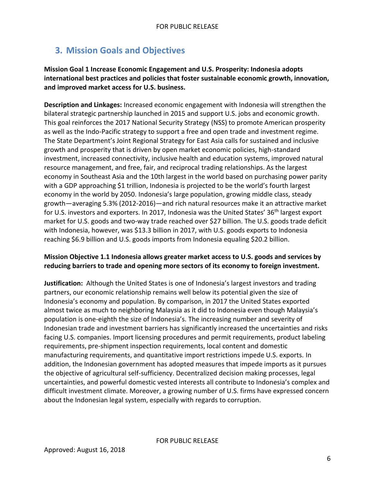## <span id="page-6-0"></span>**3. Mission Goals and Objectives**

#### **Mission Goal 1 Increase Economic Engagement and U.S. Prosperity: Indonesia adopts international best practices and policies that foster sustainable economic growth, innovation, and improved market access for U.S. business.**

**Description and Linkages:** Increased economic engagement with Indonesia will strengthen the bilateral strategic partnership launched in 2015 and support U.S. jobs and economic growth. This goal reinforces the 2017 National Security Strategy (NSS) to promote American prosperity as well as the Indo-Pacific strategy to support a free and open trade and investment regime. The State Department's Joint Regional Strategy for East Asia calls for sustained and inclusive growth and prosperity that is driven by open market economic policies, high-standard investment, increased connectivity, inclusive health and education systems, improved natural resource management, and free, fair, and reciprocal trading relationships. As the largest economy in Southeast Asia and the 10th largest in the world based on purchasing power parity with a GDP approaching \$1 trillion, Indonesia is projected to be the world's fourth largest economy in the world by 2050. Indonesia's large population, growing middle class, steady growth—averaging 5.3% (2012-2016)—and rich natural resources make it an attractive market for U.S. investors and exporters. In 2017, Indonesia was the United States' 36<sup>th</sup> largest export market for U.S. goods and two-way trade reached over \$27 billion. The U.S. goods trade deficit with Indonesia, however, was \$13.3 billion in 2017, with U.S. goods exports to Indonesia reaching \$6.9 billion and U.S. goods imports from Indonesia equaling \$20.2 billion.

#### **Mission Objective 1.1 Indonesia allows greater market access to U.S. goods and services by reducing barriers to trade and opening more sectors of its economy to foreign investment.**

**Justification:** Although the United States is one of Indonesia's largest investors and trading partners, our economic relationship remains well below its potential given the size of Indonesia's economy and population. By comparison, in 2017 the United States exported almost twice as much to neighboring Malaysia as it did to Indonesia even though Malaysia's population is one-eighth the size of Indonesia's. The increasing number and severity of Indonesian trade and investment barriers has significantly increased the uncertainties and risks facing U.S. companies. Import licensing procedures and permit requirements, product labeling requirements, pre-shipment inspection requirements, local content and domestic manufacturing requirements, and quantitative import restrictions impede U.S. exports. In addition, the Indonesian government has adopted measures that impede imports as it pursues the objective of agricultural self-sufficiency. Decentralized decision making processes, legal uncertainties, and powerful domestic vested interests all contribute to Indonesia's complex and difficult investment climate. Moreover, a growing number of U.S. firms have expressed concern about the Indonesian legal system, especially with regards to corruption.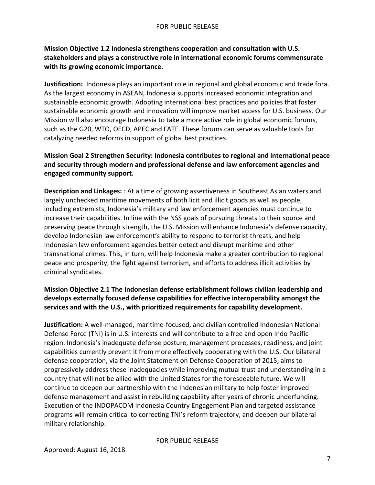#### **Mission Objective 1.2 Indonesia strengthens cooperation and consultation with U.S. stakeholders and plays a constructive role in international economic forums commensurate with its growing economic importance.**

**Justification:** Indonesia plays an important role in regional and global economic and trade fora. As the largest economy in ASEAN, Indonesia supports increased economic integration and sustainable economic growth. Adopting international best practices and policies that foster sustainable economic growth and innovation will improve market access for U.S. business. Our Mission will also encourage Indonesia to take a more active role in global economic forums, such as the G20, WTO, OECD, APEC and FATF. These forums can serve as valuable tools for catalyzing needed reforms in support of global best practices.

#### **Mission Goal 2 Strengthen Security: Indonesia contributes to regional and international peace and security through modern and professional defense and law enforcement agencies and engaged community support.**

**Description and Linkages:** : At a time of growing assertiveness in Southeast Asian waters and largely unchecked maritime movements of both licit and illicit goods as well as people, including extremists, Indonesia's military and law enforcement agencies must continue to increase their capabilities. In line with the NSS goals of pursuing threats to their source and preserving peace through strength, the U.S. Mission will enhance Indonesia's defense capacity, develop Indonesian law enforcement's ability to respond to terrorist threats, and help Indonesian law enforcement agencies better detect and disrupt maritime and other transnational crimes. This, in turn, will help Indonesia make a greater contribution to regional peace and prosperity, the fight against terrorism, and efforts to address illicit activities by criminal syndicates.

#### **Mission Objective 2.1 The Indonesian defense establishment follows civilian leadership and develops externally focused defense capabilities for effective interoperability amongst the services and with the U.S., with prioritized requirements for capability development.**

**Justification:** A well-managed, maritime-focused, and civilian controlled Indonesian National Defense Force (TNI) is in U.S. interests and will contribute to a free and open Indo Pacific region. Indonesia's inadequate defense posture, management processes, readiness, and joint capabilities currently prevent it from more effectively cooperating with the U.S. Our bilateral defense cooperation, via the Joint Statement on Defense Cooperation of 2015, aims to progressively address these inadequacies while improving mutual trust and understanding in a country that will not be allied with the United States for the foreseeable future. We will continue to deepen our partnership with the Indonesian military to help foster improved defense management and assist in rebuilding capability after years of chronic underfunding. Execution of the INDOPACOM Indonesia Country Engagement Plan and targeted assistance programs will remain critical to correcting TNI's reform trajectory, and deepen our bilateral military relationship.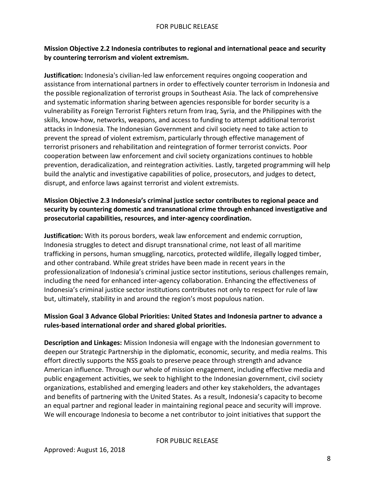#### **Mission Objective 2.2 Indonesia contributes to regional and international peace and security by countering terrorism and violent extremism.**

**Justification:** Indonesia's civilian-led law enforcement requires ongoing cooperation and assistance from international partners in order to effectively counter terrorism in Indonesia and the possible regionalization of terrorist groups in Southeast Asia. The lack of comprehensive and systematic information sharing between agencies responsible for border security is a vulnerability as Foreign Terrorist Fighters return from Iraq, Syria, and the Philippines with the skills, know-how, networks, weapons, and access to funding to attempt additional terrorist attacks in Indonesia. The Indonesian Government and civil society need to take action to prevent the spread of violent extremism, particularly through effective management of terrorist prisoners and rehabilitation and reintegration of former terrorist convicts. Poor cooperation between law enforcement and civil society organizations continues to hobble prevention, deradicalization, and reintegration activities. Lastly, targeted programming will help build the analytic and investigative capabilities of police, prosecutors, and judges to detect, disrupt, and enforce laws against terrorist and violent extremists.

#### **Mission Objective 2.3 Indonesia's criminal justice sector contributes to regional peace and security by countering domestic and transnational crime through enhanced investigative and prosecutorial capabilities, resources, and inter-agency coordination.**

**Justification:** With its porous borders, weak law enforcement and endemic corruption, Indonesia struggles to detect and disrupt transnational crime, not least of all maritime trafficking in persons, human smuggling, narcotics, protected wildlife, illegally logged timber, and other contraband. While great strides have been made in recent years in the professionalization of Indonesia's criminal justice sector institutions, serious challenges remain, including the need for enhanced inter-agency collaboration. Enhancing the effectiveness of Indonesia's criminal justice sector institutions contributes not only to respect for rule of law but, ultimately, stability in and around the region's most populous nation.

#### **Mission Goal 3 Advance Global Priorities: United States and Indonesia partner to advance a rules-based international order and shared global priorities.**

**Description and Linkages:** Mission Indonesia will engage with the Indonesian government to deepen our Strategic Partnership in the diplomatic, economic, security, and media realms. This effort directly supports the NSS goals to preserve peace through strength and advance American influence. Through our whole of mission engagement, including effective media and public engagement activities, we seek to highlight to the Indonesian government, civil society organizations, established and emerging leaders and other key stakeholders, the advantages and benefits of partnering with the United States. As a result, Indonesia's capacity to become an equal partner and regional leader in maintaining regional peace and security will improve. We will encourage Indonesia to become a net contributor to joint initiatives that support the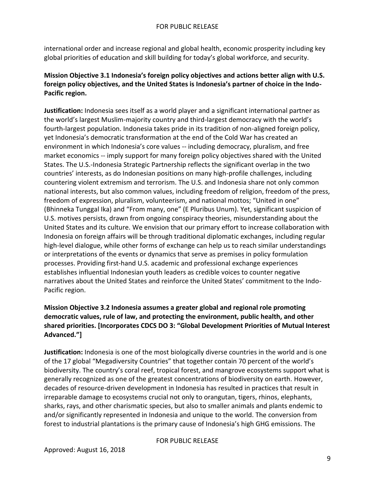international order and increase regional and global health, economic prosperity including key global priorities of education and skill building for today's global workforce, and security.

#### **Mission Objective 3.1 Indonesia's foreign policy objectives and actions better align with U.S. foreign policy objectives, and the United States is Indonesia's partner of choice in the Indo-Pacific region.**

**Justification:** Indonesia sees itself as a world player and a significant international partner as the world's largest Muslim-majority country and third-largest democracy with the world's fourth-largest population. Indonesia takes pride in its tradition of non-aligned foreign policy, yet Indonesia's democratic transformation at the end of the Cold War has created an environment in which Indonesia's core values -- including democracy, pluralism, and free market economics -- imply support for many foreign policy objectives shared with the United States. The U.S.-Indonesia Strategic Partnership reflects the significant overlap in the two countries' interests, as do Indonesian positions on many high-profile challenges, including countering violent extremism and terrorism. The U.S. and Indonesia share not only common national interests, but also common values, including freedom of religion, freedom of the press, freedom of expression, pluralism, volunteerism, and national mottos; "United in one" (Bhinneka Tunggal Ika) and "From many, one" (E Pluribus Unum). Yet, significant suspicion of U.S. motives persists, drawn from ongoing conspiracy theories, misunderstanding about the United States and its culture. We envision that our primary effort to increase collaboration with Indonesia on foreign affairs will be through traditional diplomatic exchanges, including regular high-level dialogue, while other forms of exchange can help us to reach similar understandings or interpretations of the events or dynamics that serve as premises in policy formulation processes. Providing first-hand U.S. academic and professional exchange experiences establishes influential Indonesian youth leaders as credible voices to counter negative narratives about the United States and reinforce the United States' commitment to the Indo-Pacific region.

#### **Mission Objective 3.2 Indonesia assumes a greater global and regional role promoting democratic values, rule of law, and protecting the environment, public health, and other shared priorities. [Incorporates CDCS DO 3: "Global Development Priorities of Mutual Interest Advanced."]**

**Justification:** Indonesia is one of the most biologically diverse countries in the world and is one of the 17 global "Megadiversity Countries" that together contain 70 percent of the world's biodiversity. The country's coral reef, tropical forest, and mangrove ecosystems support what is generally recognized as one of the greatest concentrations of biodiversity on earth. However, decades of resource-driven development in Indonesia has resulted in practices that result in irreparable damage to ecosystems crucial not only to orangutan, tigers, rhinos, elephants, sharks, rays, and other charismatic species, but also to smaller animals and plants endemic to and/or significantly represented in Indonesia and unique to the world. The conversion from forest to industrial plantations is the primary cause of Indonesia's high GHG emissions. The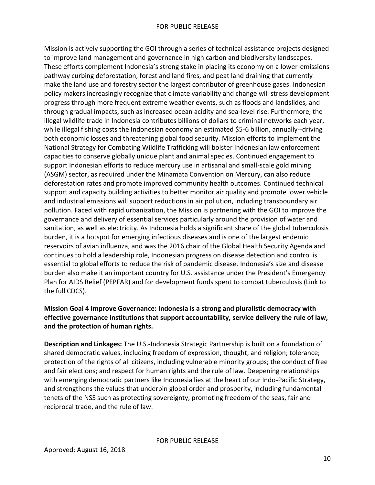Mission is actively supporting the GOI through a series of technical assistance projects designed to improve land management and governance in high carbon and biodiversity landscapes. These efforts complement Indonesia's strong stake in placing its economy on a lower-emissions pathway curbing deforestation, forest and land fires, and peat land draining that currently make the land use and forestry sector the largest contributor of greenhouse gases. Indonesian policy makers increasingly recognize that climate variability and change will stress development progress through more frequent extreme weather events, such as floods and landslides, and through gradual impacts, such as increased ocean acidity and sea-level rise. Furthermore, the illegal wildlife trade in Indonesia contributes billions of dollars to criminal networks each year, while illegal fishing costs the Indonesian economy an estimated \$5-6 billion, annually--driving both economic losses and threatening global food security. Mission efforts to implement the National Strategy for Combating Wildlife Trafficking will bolster Indonesian law enforcement capacities to conserve globally unique plant and animal species. Continued engagement to support Indonesian efforts to reduce mercury use in artisanal and small-scale gold mining (ASGM) sector, as required under the Minamata Convention on Mercury, can also reduce deforestation rates and promote improved community health outcomes. Continued technical support and capacity building activities to better monitor air quality and promote lower vehicle and industrial emissions will support reductions in air pollution, including transboundary air pollution. Faced with rapid urbanization, the Mission is partnering with the GOI to improve the governance and delivery of essential services particularly around the provision of water and sanitation, as well as electricity. As Indonesia holds a significant share of the global tuberculosis burden, it is a hotspot for emerging infectious diseases and is one of the largest endemic reservoirs of avian influenza, and was the 2016 chair of the Global Health Security Agenda and continues to hold a leadership role, Indonesian progress on disease detection and control is essential to global efforts to reduce the risk of pandemic disease. Indonesia's size and disease burden also make it an important country for U.S. assistance under the President's Emergency Plan for AIDS Relief (PEPFAR) and for development funds spent to combat tuberculosis (Link to the full CDCS).

#### **Mission Goal 4 Improve Governance: Indonesia is a strong and pluralistic democracy with effective governance institutions that support accountability, service delivery the rule of law, and the protection of human rights.**

**Description and Linkages:** The U.S.-Indonesia Strategic Partnership is built on a foundation of shared democratic values, including freedom of expression, thought, and religion; tolerance; protection of the rights of all citizens, including vulnerable minority groups; the conduct of free and fair elections; and respect for human rights and the rule of law. Deepening relationships with emerging democratic partners like Indonesia lies at the heart of our Indo-Pacific Strategy, and strengthens the values that underpin global order and prosperity, including fundamental tenets of the NSS such as protecting sovereignty, promoting freedom of the seas, fair and reciprocal trade, and the rule of law.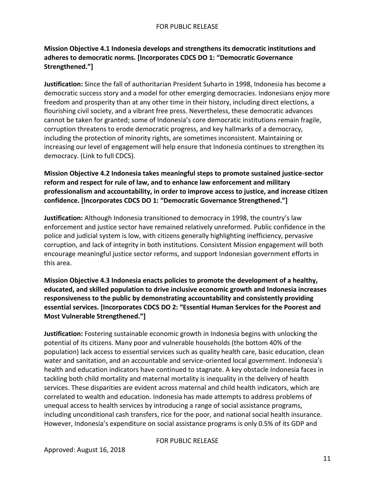**Mission Objective 4.1 Indonesia develops and strengthens its democratic institutions and adheres to democratic norms. [Incorporates CDCS DO 1: "Democratic Governance Strengthened."]**

**Justification:** Since the fall of authoritarian President Suharto in 1998, Indonesia has become a democratic success story and a model for other emerging democracies. Indonesians enjoy more freedom and prosperity than at any other time in their history, including direct elections, a flourishing civil society, and a vibrant free press. Nevertheless, these democratic advances cannot be taken for granted; some of Indonesia's core democratic institutions remain fragile, corruption threatens to erode democratic progress, and key hallmarks of a democracy, including the protection of minority rights, are sometimes inconsistent. Maintaining or increasing our level of engagement will help ensure that Indonesia continues to strengthen its democracy. (Link to full CDCS).

**Mission Objective 4.2 Indonesia takes meaningful steps to promote sustained justice-sector reform and respect for rule of law, and to enhance law enforcement and military professionalism and accountability, in order to improve access to justice, and increase citizen confidence. [Incorporates CDCS DO 1: "Democratic Governance Strengthened."]**

**Justification:** Although Indonesia transitioned to democracy in 1998, the country's law enforcement and justice sector have remained relatively unreformed. Public confidence in the police and judicial system is low, with citizens generally highlighting inefficiency, pervasive corruption, and lack of integrity in both institutions. Consistent Mission engagement will both encourage meaningful justice sector reforms, and support Indonesian government efforts in this area.

**Mission Objective 4.3 Indonesia enacts policies to promote the development of a healthy, educated, and skilled population to drive inclusive economic growth and Indonesia increases responsiveness to the public by demonstrating accountability and consistently providing essential services. [Incorporates CDCS DO 2: "Essential Human Services for the Poorest and Most Vulnerable Strengthened."]**

**Justification:** Fostering sustainable economic growth in Indonesia begins with unlocking the potential of its citizens. Many poor and vulnerable households (the bottom 40% of the population) lack access to essential services such as quality health care, basic education, clean water and sanitation, and an accountable and service-oriented local government. Indonesia's health and education indicators have continued to stagnate. A key obstacle Indonesia faces in tackling both child mortality and maternal mortality is inequality in the delivery of health services. These disparities are evident across maternal and child health indicators, which are correlated to wealth and education. Indonesia has made attempts to address problems of unequal access to health services by introducing a range of social assistance programs, including unconditional cash transfers, rice for the poor, and national social health insurance. However, Indonesia's expenditure on social assistance programs is only 0.5% of its GDP and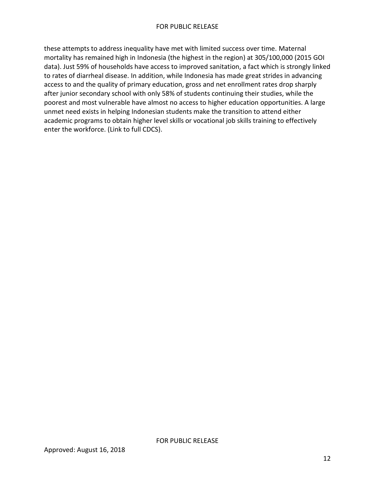<span id="page-12-0"></span>these attempts to address inequality have met with limited success over time. Maternal mortality has remained high in Indonesia (the highest in the region) at 305/100,000 (2015 GOI data). Just 59% of households have access to improved sanitation, a fact which is strongly linked to rates of diarrheal disease. In addition, while Indonesia has made great strides in advancing access to and the quality of primary education, gross and net enrollment rates drop sharply after junior secondary school with only 58% of students continuing their studies, while the poorest and most vulnerable have almost no access to higher education opportunities. A large unmet need exists in helping Indonesian students make the transition to attend either academic programs to obtain higher level skills or vocational job skills training to effectively enter the workforce. (Link to full CDCS).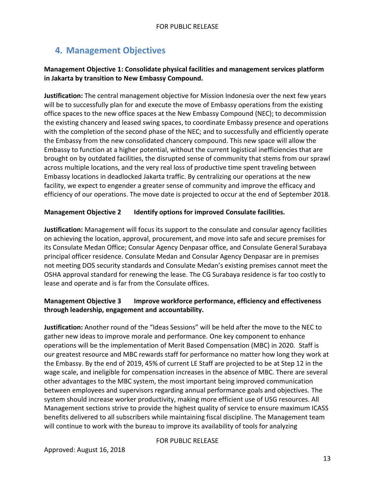## **4. Management Objectives**

#### **Management Objective 1: Consolidate physical facilities and management services platform in Jakarta by transition to New Embassy Compound.**

**Justification:** The central management objective for Mission Indonesia over the next few years will be to successfully plan for and execute the move of Embassy operations from the existing office spaces to the new office spaces at the New Embassy Compound (NEC); to decommission the existing chancery and leased swing spaces, to coordinate Embassy presence and operations with the completion of the second phase of the NEC; and to successfully and efficiently operate the Embassy from the new consolidated chancery compound. This new space will allow the Embassy to function at a higher potential, without the current logistical inefficiencies that are brought on by outdated facilities, the disrupted sense of community that stems from our sprawl across multiple locations, and the very real loss of productive time spent traveling between Embassy locations in deadlocked Jakarta traffic. By centralizing our operations at the new facility, we expect to engender a greater sense of community and improve the efficacy and efficiency of our operations. The move date is projected to occur at the end of September 2018.

#### **Management Objective 2 Identify options for improved Consulate facilities.**

**Justification:** Management will focus its support to the consulate and consular agency facilities on achieving the location, approval, procurement, and move into safe and secure premises for its Consulate Medan Office; Consular Agency Denpasar office, and Consulate General Surabaya principal officer residence. Consulate Medan and Consular Agency Denpasar are in premises not meeting DOS security standards and Consulate Medan's existing premises cannot meet the OSHA approval standard for renewing the lease. The CG Surabaya residence is far too costly to lease and operate and is far from the Consulate offices.

#### **Management Objective 3 Improve workforce performance, efficiency and effectiveness through leadership, engagement and accountability.**

**Justification:** Another round of the "Ideas Sessions" will be held after the move to the NEC to gather new ideas to improve morale and performance. One key component to enhance operations will be the implementation of Merit Based Compensation (MBC) in 2020. Staff is our greatest resource and MBC rewards staff for performance no matter how long they work at the Embassy. By the end of 2019, 45% of current LE Staff are projected to be at Step 12 in the wage scale, and ineligible for compensation increases in the absence of MBC. There are several other advantages to the MBC system, the most important being improved communication between employees and supervisors regarding annual performance goals and objectives. The system should increase worker productivity, making more efficient use of USG resources. All Management sections strive to provide the highest quality of service to ensure maximum ICASS benefits delivered to all subscribers while maintaining fiscal discipline. The Management team will continue to work with the bureau to improve its availability of tools for analyzing